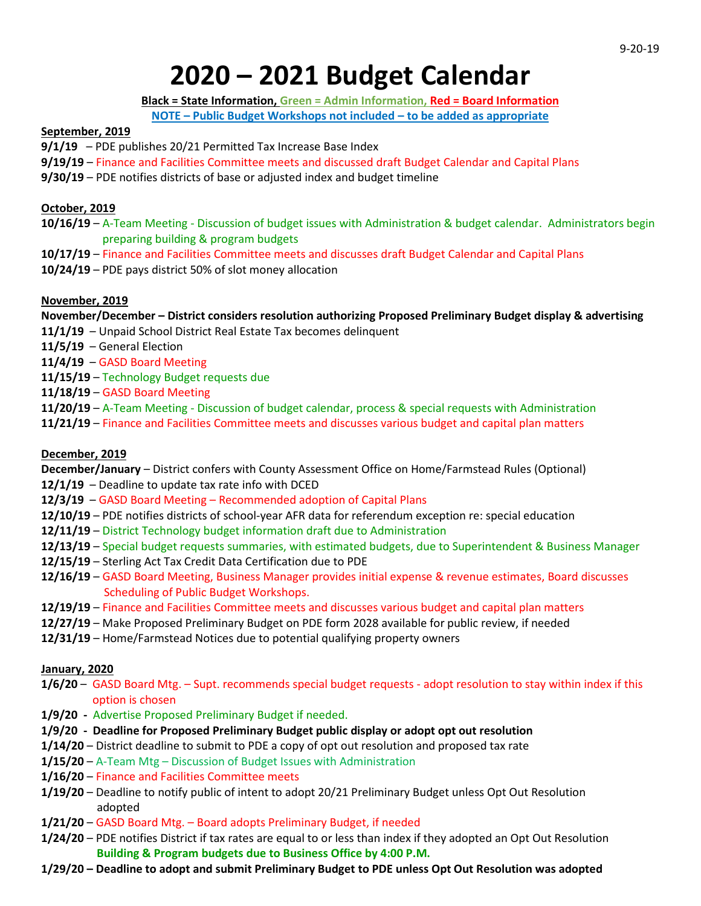# **2020 – 2021 Budget Calendar**

**Black = State Information, Green = Admin Information, Red = Board Information**

**NOTE – Public Budget Workshops not included – to be added as appropriate**

## **September, 2019**

- **9/1/19**  PDE publishes 20/21 Permitted Tax Increase Base Index
- **9/19/19**  Finance and Facilities Committee meets and discussed draft Budget Calendar and Capital Plans
- **9/30/19** PDE notifies districts of base or adjusted index and budget timeline

# **October, 2019**

- **10/16/19** A-Team Meeting Discussion of budget issues with Administration & budget calendar. Administrators begin preparing building & program budgets
- **10/17/19** Finance and Facilities Committee meets and discusses draft Budget Calendar and Capital Plans
- **10/24/19** PDE pays district 50% of slot money allocation

## **November, 2019**

## **November/December – District considers resolution authorizing Proposed Preliminary Budget display & advertising**

- **11/1/19** Unpaid School District Real Estate Tax becomes delinquent
- **11/5/19** General Election

**11/4/19** – GASD Board Meeting

- **11/15/19** Technology Budget requests due
- **11/18/19** GASD Board Meeting
- **11/20/19** A-Team Meeting Discussion of budget calendar, process & special requests with Administration
- **11/21/19** Finance and Facilities Committee meets and discusses various budget and capital plan matters

## **December, 2019**

**December/January** – District confers with County Assessment Office on Home/Farmstead Rules (Optional) **12/1/19** – Deadline to update tax rate info with DCED

- 
- **12/3/19** GASD Board Meeting Recommended adoption of Capital Plans
- **12/10/19** PDE notifies districts of school-year AFR data for referendum exception re: special education
- **12/11/19** District Technology budget information draft due to Administration
- **12/13/19** Special budget requests summaries, with estimated budgets, due to Superintendent & Business Manager
- **12/15/19** Sterling Act Tax Credit Data Certification due to PDE
- **12/16/19** GASD Board Meeting, Business Manager provides initial expense & revenue estimates, Board discusses Scheduling of Public Budget Workshops.
- **12/19/19** Finance and Facilities Committee meets and discusses various budget and capital plan matters
- **12/27/19** Make Proposed Preliminary Budget on PDE form 2028 available for public review, if needed
- **12/31/19** Home/Farmstead Notices due to potential qualifying property owners

## **January, 2020**

- **1/6/20** GASD Board Mtg. Supt. recommends special budget requests adopt resolution to stay within index if this option is chosen
- **1/9/20 -** Advertise Proposed Preliminary Budget if needed.
- **1/9/20 - Deadline for Proposed Preliminary Budget public display or adopt opt out resolution**
- **1/14/20**  District deadline to submit to PDE a copy of opt out resolution and proposed tax rate
- **1/15/20** A-Team Mtg Discussion of Budget Issues with Administration
- **1/16/20** Finance and Facilities Committee meets
- **1/19/20** Deadline to notify public of intent to adopt 20/21 Preliminary Budget unless Opt Out Resolution adopted
- **1/21/20** GASD Board Mtg. Board adopts Preliminary Budget, if needed
- **1/24/20** PDE notifies District if tax rates are equal to or less than index if they adopted an Opt Out Resolution  **Building & Program budgets due to Business Office by 4:00 P.M.**
- **1/29/20 – Deadline to adopt and submit Preliminary Budget to PDE unless Opt Out Resolution was adopted**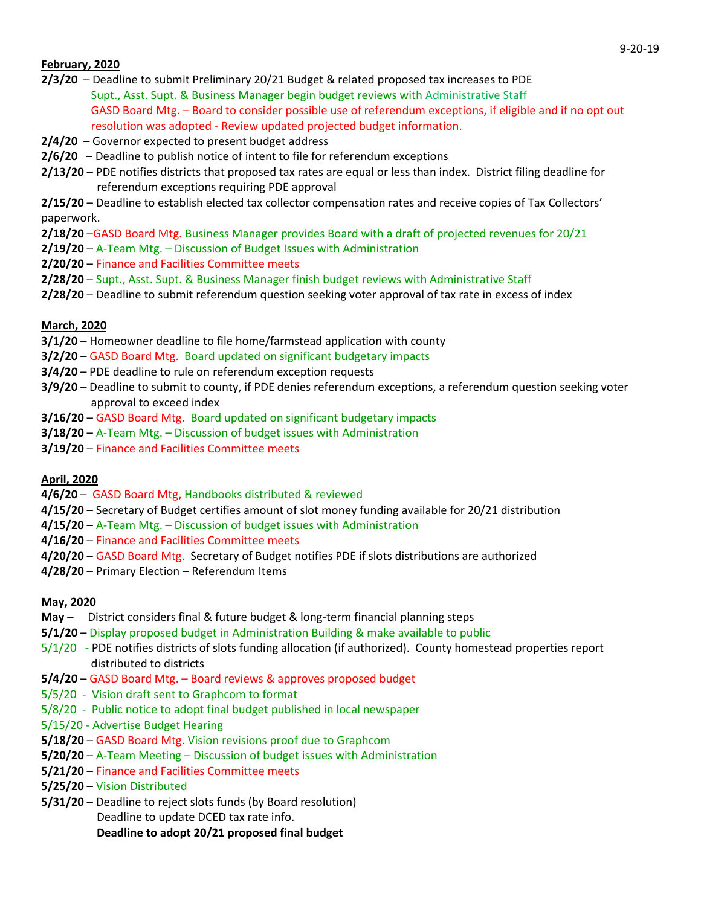## **February, 2020**

- **2/3/20** Deadline to submit Preliminary 20/21 Budget & related proposed tax increases to PDE Supt., Asst. Supt. & Business Manager begin budget reviews with Administrative Staff GASD Board Mtg. – Board to consider possible use of referendum exceptions, if eligible and if no opt out resolution was adopted - Review updated projected budget information.
- **2/4/20** Governor expected to present budget address
- **2/6/20**  Deadline to publish notice of intent to file for referendum exceptions
- **2/13/20** PDE notifies districts that proposed tax rates are equal or less than index. District filing deadline for referendum exceptions requiring PDE approval

**2/15/20** – Deadline to establish elected tax collector compensation rates and receive copies of Tax Collectors' paperwork.

- **2/18/20** –GASD Board Mtg. Business Manager provides Board with a draft of projected revenues for 20/21
- **2/19/20** A-Team Mtg. Discussion of Budget Issues with Administration
- **2/20/20** Finance and Facilities Committee meets
- **2/28/20** Supt., Asst. Supt. & Business Manager finish budget reviews with Administrative Staff
- **2/28/20** Deadline to submit referendum question seeking voter approval of tax rate in excess of index

#### **March, 2020**

- **3/1/20** Homeowner deadline to file home/farmstead application with county
- **3/2/20** GASD Board Mtg. Board updated on significant budgetary impacts
- **3/4/20** PDE deadline to rule on referendum exception requests
- **3/9/20** Deadline to submit to county, if PDE denies referendum exceptions, a referendum question seeking voter approval to exceed index
- **3/16/20** GASD Board Mtg. Board updated on significant budgetary impacts
- **3/18/20** A-Team Mtg. Discussion of budget issues with Administration
- **3/19/20** Finance and Facilities Committee meets

## **April, 2020**

- **4/6/20** GASD Board Mtg, Handbooks distributed & reviewed
- **4/15/20** Secretary of Budget certifies amount of slot money funding available for 20/21 distribution
- **4/15/20** A-Team Mtg. Discussion of budget issues with Administration
- **4/16/20**  Finance and Facilities Committee meets
- **4/20/20** GASD Board Mtg. Secretary of Budget notifies PDE if slots distributions are authorized
- **4/28/20** Primary Election Referendum Items

#### **May, 2020**

- **May** –District considers final & future budget & long-term financial planning steps
- **5/1/20** Display proposed budget in Administration Building & make available to public
- 5/1/20 PDE notifies districts of slots funding allocation (if authorized). County homestead properties report distributed to districts
- **5/4/20** GASD Board Mtg. Board reviews & approves proposed budget
- 5/5/20 Vision draft sent to Graphcom to format
- 5/8/20 Public notice to adopt final budget published in local newspaper
- 5/15/20 Advertise Budget Hearing
- **5/18/20** GASD Board Mtg. Vision revisions proof due to Graphcom
- **5/20/20** A-Team Meeting Discussion of budget issues with Administration
- **5/21/20** Finance and Facilities Committee meets
- **5/25/20** Vision Distributed
- **5/31/20** Deadline to reject slots funds (by Board resolution) Deadline to update DCED tax rate info.

 **Deadline to adopt 20/21 proposed final budget**